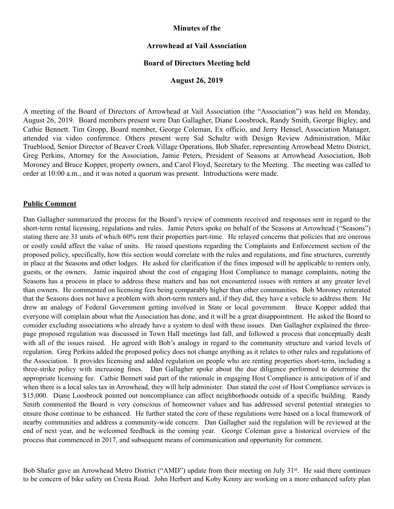# **Minutes of the**

## **Arrowhead at Vail Association**

## **Board of Directors Meeting held**

## **August 26, 2019**

A meeting of the Board of Directors of Arrowhead at Vail Association (the "Association") was held on Monday, August 26, 2019. Board members present were Dan Gallagher, Diane Loosbrock, Randy Smith, George Bigley, and Cathie Bennett. Tim Gropp, Board member, George Coleman, Ex officio, and Jerry Hensel, Association Manager, attended via video conference. Others present were Sid Schultz with Design Review Administration, Mike Trueblood, Senior Director of Beaver Creek Village Operations, Bob Shafer, representing Arrowhead Metro District, Greg Perkins, Attorney for the Association, Jamie Peters, President of Seasons at Arrowhead Association, Bob Moroney and Bruce Kopper, property owners, and Carol Floyd, Secretary to the Meeting. The meeting was called to order at 10:00 a.m., and it was noted a quorum was present. Introductions were made.

## **Public Comment**

Dan Gallagher summarized the process for the Board's review of comments received and responses sent in regard to the short-term rental licensing, regulations and rules. Jamie Peters spoke on behalf of the Seasons at Arrowhead ("Seasons") stating there are 31 units of which 60% rent their properties part-time. He relayed concerns that policies that are onerous or costly could affect the value of units. He raised questions regarding the Complaints and Enforcement section of the proposed policy, specifically, how this section would correlate with the rules and regulations, and fine structures, currently in place at the Seasons and other lodges. He asked for clarification if the fines imposed will be applicable to renters only, guests, or the owners. Jamie inquired about the cost of engaging Host Compliance to manage complaints, noting the Seasons has a process in place to address these matters and has not encountered issues with renters at any greater level than owners. He commented on licensing fees being comparably higher than other communities. Bob Moroney reiterated that the Seasons does not have a problem with short-term renters and, if they did, they have a vehicle to address them. He drew an analogy of Federal Government getting involved in State or local government. Bruce Kopper added that everyone will complain about what the Association has done, and it will be a great disappointment. He asked the Board to consider excluding associations who already have a system to deal with these issues. Dan Gallagher explained the threepage proposed regulation was discussed in Town Hall meetings last fall, and followed a process that conceptually dealt with all of the issues raised. He agreed with Bob's analogy in regard to the community structure and varied levels of regulation. Greg Perkins added the proposed policy does not change anything as it relates to other rules and regulations of the Association. It provides licensing and added regulation on people who are renting properties short-term, including a three-strike policy with increasing fines. Dan Gallagher spoke about the due diligence performed to determine the appropriate licensing fee. Cathie Bennett said part of the rationale in engaging Host Compliance is anticipation of if and when there is a local sales tax in Arrowhead, they will help administer. Dan stated the cost of Host Compliance services is \$15,000. Diane Loosbrock pointed out noncompliance can affect neighborhoods outside of a specific building. Randy Smith commented the Board is very conscious of homeowner values and has addressed several potential strategies to ensure those continue to be enhanced. He further stated the core of these regulations were based on a local framework of nearby communities and address a community-wide concern. Dan Gallagher said the regulation will be reviewed at the end of next year, and he welcomed feedback in the coming year. George Coleman gave a historical overview of the process that commenced in 2017, and subsequent means of communication and opportunity for comment.

Bob Shafer gave an Arrowhead Metro District ("AMD") update from their meeting on July 31<sup>st</sup>. He said there continues to be concern of bike safety on Cresta Road. John Herbert and Koby Kenny are working on a more enhanced safety plan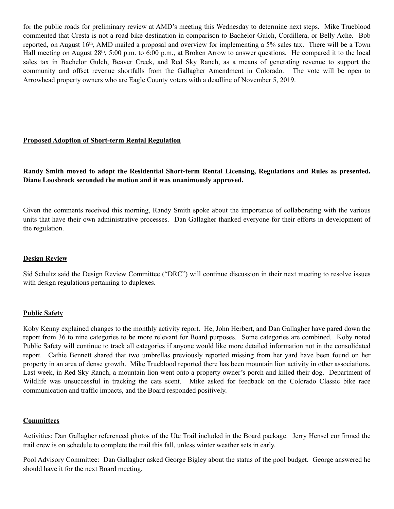for the public roads for preliminary review at AMD's meeting this Wednesday to determine next steps. Mike Trueblood commented that Cresta is not a road bike destination in comparison to Bachelor Gulch, Cordillera, or Belly Ache. Bob reported, on August 16th, AMD mailed a proposal and overview for implementing a 5% sales tax. There will be a Town Hall meeting on August 28<sup>th</sup>, 5:00 p.m. to 6:00 p.m., at Broken Arrow to answer questions. He compared it to the local sales tax in Bachelor Gulch, Beaver Creek, and Red Sky Ranch, as a means of generating revenue to support the community and offset revenue shortfalls from the Gallagher Amendment in Colorado. The vote will be open to Arrowhead property owners who are Eagle County voters with a deadline of November 5, 2019.

## **Proposed Adoption of Short-term Rental Regulation**

# **Randy Smith moved to adopt the Residential Short-term Rental Licensing, Regulations and Rules as presented. Diane Loosbrock seconded the motion and it was unanimously approved.**

Given the comments received this morning, Randy Smith spoke about the importance of collaborating with the various units that have their own administrative processes. Dan Gallagher thanked everyone for their efforts in development of the regulation.

## **Design Review**

Sid Schultz said the Design Review Committee ("DRC") will continue discussion in their next meeting to resolve issues with design regulations pertaining to duplexes.

## **Public Safety**

Koby Kenny explained changes to the monthly activity report. He, John Herbert, and Dan Gallagher have pared down the report from 36 to nine categories to be more relevant for Board purposes. Some categories are combined. Koby noted Public Safety will continue to track all categories if anyone would like more detailed information not in the consolidated report. Cathie Bennett shared that two umbrellas previously reported missing from her yard have been found on her property in an area of dense growth. Mike Trueblood reported there has been mountain lion activity in other associations. Last week, in Red Sky Ranch, a mountain lion went onto a property owner's porch and killed their dog. Department of Wildlife was unsuccessful in tracking the cats scent. Mike asked for feedback on the Colorado Classic bike race communication and traffic impacts, and the Board responded positively.

## **Committees**

Activities: Dan Gallagher referenced photos of the Ute Trail included in the Board package. Jerry Hensel confirmed the trail crew is on schedule to complete the trail this fall, unless winter weather sets in early.

Pool Advisory Committee: Dan Gallagher asked George Bigley about the status of the pool budget. George answered he should have it for the next Board meeting.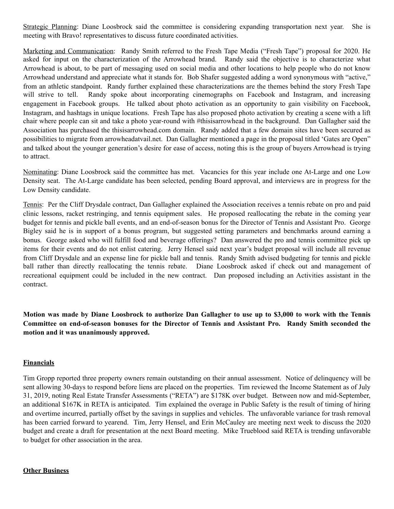Strategic Planning: Diane Loosbrock said the committee is considering expanding transportation next year. She is meeting with Bravo! representatives to discuss future coordinated activities.

Marketing and Communication: Randy Smith referred to the Fresh Tape Media ("Fresh Tape") proposal for 2020. He asked for input on the characterization of the Arrowhead brand. Randy said the objective is to characterize what Arrowhead is about, to be part of messaging used on social media and other locations to help people who do not know Arrowhead understand and appreciate what it stands for. Bob Shafer suggested adding a word synonymous with "active," from an athletic standpoint. Randy further explained these characterizations are the themes behind the story Fresh Tape will strive to tell. Randy spoke about incorporating cinemographs on Facebook and Instagram, and increasing engagement in Facebook groups. He talked about photo activation as an opportunity to gain visibility on Facebook, Instagram, and hashtags in unique locations. Fresh Tape has also proposed photo activation by creating a scene with a lift chair where people can sit and take a photo year-round with #thisisarrowhead in the background. Dan Gallagher said the Association has purchased the thisisarrowhead.com domain. Randy added that a few domain sites have been secured as possibilities to migrate from arrowheadatvail.net. Dan Gallagher mentioned a page in the proposal titled 'Gates are Open" and talked about the younger generation's desire for ease of access, noting this is the group of buyers Arrowhead is trying to attract.

Nominating: Diane Loosbrock said the committee has met. Vacancies for this year include one At-Large and one Low Density seat. The At-Large candidate has been selected, pending Board approval, and interviews are in progress for the Low Density candidate.

Tennis: Per the Cliff Drysdale contract, Dan Gallagher explained the Association receives a tennis rebate on pro and paid clinic lessons, racket restringing, and tennis equipment sales. He proposed reallocating the rebate in the coming year budget for tennis and pickle ball events, and an end-of-season bonus for the Director of Tennis and Assistant Pro. George Bigley said he is in support of a bonus program, but suggested setting parameters and benchmarks around earning a bonus. George asked who will fulfill food and beverage offerings? Dan answered the pro and tennis committee pick up items for their events and do not enlist catering. Jerry Hensel said next year's budget proposal will include all revenue from Cliff Drysdale and an expense line for pickle ball and tennis. Randy Smith advised budgeting for tennis and pickle ball rather than directly reallocating the tennis rebate. Diane Loosbrock asked if check out and management of recreational equipment could be included in the new contract. Dan proposed including an Activities assistant in the contract.

**Motion was made by Diane Loosbrock to authorize Dan Gallagher to use up to \$3,000 to work with the Tennis Committee on end-of-season bonuses for the Director of Tennis and Assistant Pro. Randy Smith seconded the motion and it was unanimously approved.** 

## **Financials**

Tim Gropp reported three property owners remain outstanding on their annual assessment. Notice of delinquency will be sent allowing 30-days to respond before liens are placed on the properties. Tim reviewed the Income Statement as of July 31, 2019, noting Real Estate Transfer Assessments ("RETA") are \$178K over budget. Between now and mid-September, an additional \$167K in RETA is anticipated. Tim explained the overage in Public Safety is the result of timing of hiring and overtime incurred, partially offset by the savings in supplies and vehicles. The unfavorable variance for trash removal has been carried forward to yearend. Tim, Jerry Hensel, and Erin McCauley are meeting next week to discuss the 2020 budget and create a draft for presentation at the next Board meeting. Mike Trueblood said RETA is trending unfavorable to budget for other association in the area.

## **Other Business**